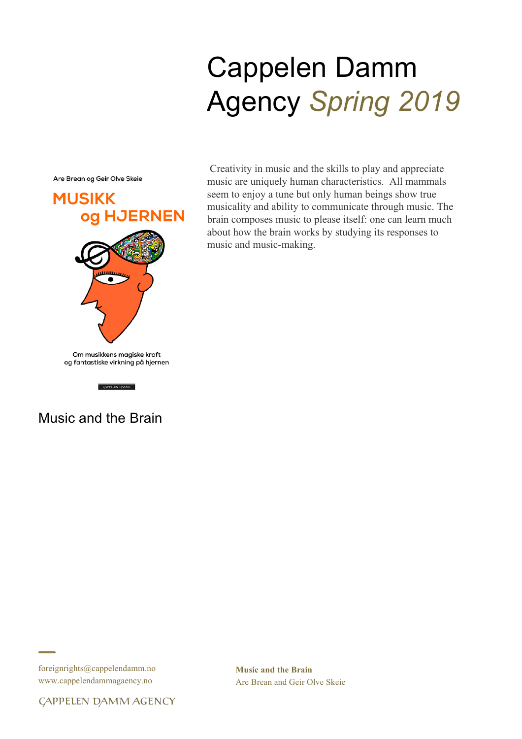# Cappelen Damm Agency *Spring 2019*

Are Brean og Geir Olve Skeie



 $\sqrt{3}$  GAPPELEN DAMM

Creativity in music and the skills to play and appreciate music are uniquely human characteristics. All mammals seem to enjoy a tune but only human beings show true musicality and ability to communicate through music. The brain composes music to please itself: one can learn much about how the brain works by studying its responses to music and music-making.

# Music and the Brain

foreignrights@cappelendamm.no www.cappelendammagaency.no

**Music and the Brain** Are Brean and Geir Olve Skeie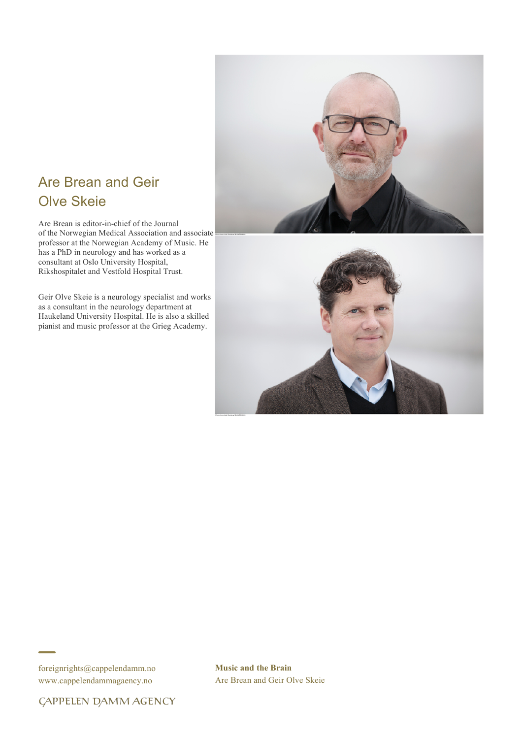# Are Brean and Geir Olve Skeie

Are Brean is editor-in-chief of the Journal of the Norwegian Medical Association and associate professor at the Norwegian Academy of Music. He has a PhD in neurology and has worked as a consultant at Oslo University Hospital, Rikshospitalet and Vestfold Hospital Trust.

Geir Olve Skeie is a neurology specialist and works as a consultant in the neurology department at Haukeland University Hospital. He is also a skilled pianist and music professor at the Grieg Academy.





foreignrights@cappelendamm.no www.cappelendammagaency.no

**Music and the Brain** Are Brean and Geir Olve Skeie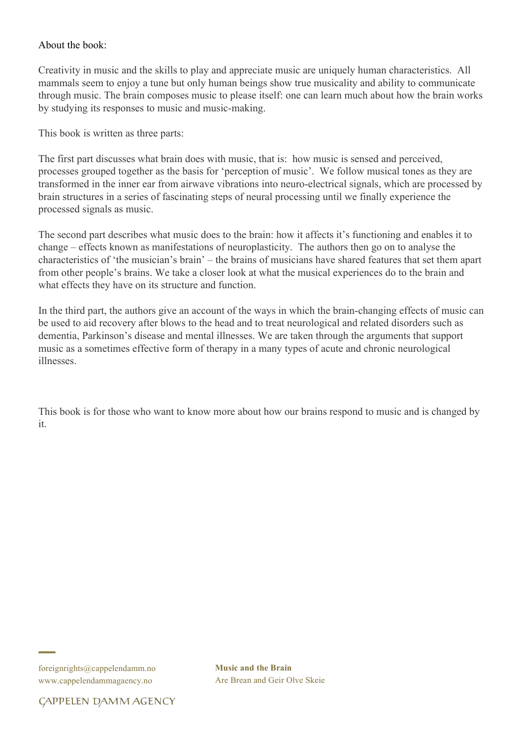# About the book:

Creativity in music and the skills to play and appreciate music are uniquely human characteristics. All mammals seem to enjoy a tune but only human beings show true musicality and ability to communicate through music. The brain composes music to please itself: one can learn much about how the brain works by studying its responses to music and music-making.

This book is written as three parts:

The first part discusses what brain does with music, that is: how music is sensed and perceived, processes grouped together as the basis for 'perception of music'. We follow musical tones as they are transformed in the inner ear from airwave vibrations into neuro-electrical signals, which are processed by brain structures in a series of fascinating steps of neural processing until we finally experience the processed signals as music.

The second part describes what music does to the brain: how it affects it's functioning and enables it to change – effects known as manifestations of neuroplasticity. The authors then go on to analyse the characteristics of 'the musician's brain' – the brains of musicians have shared features that set them apart from other people's brains. We take a closer look at what the musical experiences do to the brain and what effects they have on its structure and function.

In the third part, the authors give an account of the ways in which the brain-changing effects of music can be used to aid recovery after blows to the head and to treat neurological and related disorders such as dementia, Parkinson's disease and mental illnesses. We are taken through the arguments that support music as a sometimes effective form of therapy in a many types of acute and chronic neurological illnesses.

This book is for those who want to know more about how our brains respond to music and is changed by it.

foreignrights@cappelendamm.no www.cappelendammagaency.no

**Music and the Brain** Are Brean and Geir Olve Skeie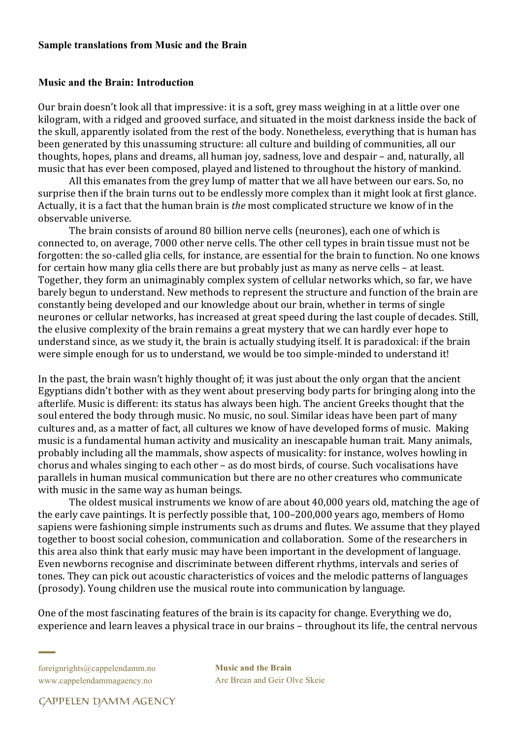#### **Sample translations from Music and the Brain**

# **Music and the Brain: Introduction**

Our brain doesn't look all that impressive: it is a soft, grey mass weighing in at a little over one kilogram, with a ridged and grooved surface, and situated in the moist darkness inside the back of the skull, apparently isolated from the rest of the body. Nonetheless, everything that is human has been generated by this unassuming structure: all culture and building of communities, all our thoughts, hopes, plans and dreams, all human joy, sadness, love and despair – and, naturally, all music that has ever been composed, played and listened to throughout the history of mankind.

All this emanates from the grey lump of matter that we all have between our ears. So, no surprise then if the brain turns out to be endlessly more complex than it might look at first glance. Actually, it is a fact that the human brain is *the* most complicated structure we know of in the observable universe.

The brain consists of around 80 billion nerve cells (neurones), each one of which is connected to, on average, 7000 other nerve cells. The other cell types in brain tissue must not be forgotten: the so-called glia cells, for instance, are essential for the brain to function. No one knows for certain how many glia cells there are but probably just as many as nerve cells – at least. Together, they form an unimaginably complex system of cellular networks which, so far, we have barely begun to understand. New methods to represent the structure and function of the brain are constantly being developed and our knowledge about our brain, whether in terms of single neurones or cellular networks, has increased at great speed during the last couple of decades. Still, the elusive complexity of the brain remains a great mystery that we can hardly ever hope to understand since, as we study it, the brain is actually studying itself. It is paradoxical: if the brain were simple enough for us to understand, we would be too simple-minded to understand it!

In the past, the brain wasn't highly thought of; it was just about the only organ that the ancient Egyptians didn't bother with as they went about preserving body parts for bringing along into the afterlife. Music is different: its status has always been high. The ancient Greeks thought that the soul entered the body through music. No music, no soul. Similar ideas have been part of many cultures and, as a matter of fact, all cultures we know of have developed forms of music. Making music is a fundamental human activity and musicality an inescapable human trait. Many animals, probably including all the mammals, show aspects of musicality: for instance, wolves howling in chorus and whales singing to each other – as do most birds, of course. Such vocalisations have parallels in human musical communication but there are no other creatures who communicate with music in the same way as human beings.

The oldest musical instruments we know of are about 40,000 years old, matching the age of the early cave paintings. It is perfectly possible that, 100-200,000 years ago, members of Homo sapiens were fashioning simple instruments such as drums and flutes. We assume that they played together to boost social cohesion, communication and collaboration. Some of the researchers in this area also think that early music may have been important in the development of language. Even newborns recognise and discriminate between different rhythms, intervals and series of tones. They can pick out acoustic characteristics of voices and the melodic patterns of languages (prosody). Young children use the musical route into communication by language.

One of the most fascinating features of the brain is its capacity for change. Everything we do, experience and learn leaves a physical trace in our brains – throughout its life, the central nervous

foreignrights@cappelendamm.no www.cappelendammagaency.no

**Music and the Brain** Are Brean and Geir Olve Skeie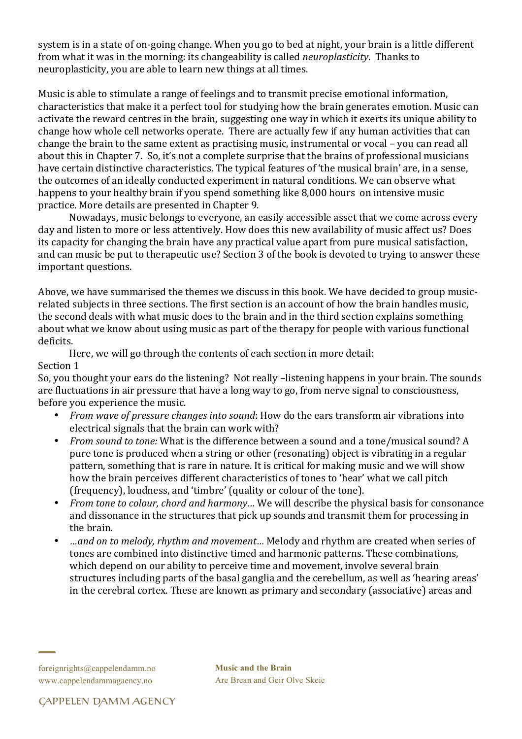system is in a state of on-going change. When you go to bed at night, your brain is a little different from what it was in the morning: its changeability is called *neuroplasticity*. Thanks to neuroplasticity, you are able to learn new things at all times.

Music is able to stimulate a range of feelings and to transmit precise emotional information, characteristics that make it a perfect tool for studying how the brain generates emotion. Music can activate the reward centres in the brain, suggesting one way in which it exerts its unique ability to change how whole cell networks operate. There are actually few if any human activities that can change the brain to the same extent as practising music, instrumental or vocal – you can read all about this in Chapter 7. So, it's not a complete surprise that the brains of professional musicians have certain distinctive characteristics. The typical features of 'the musical brain' are, in a sense, the outcomes of an ideally conducted experiment in natural conditions. We can observe what happens to your healthy brain if you spend something like 8,000 hours on intensive music practice. More details are presented in Chapter 9.

Nowadays, music belongs to everyone, an easily accessible asset that we come across every day and listen to more or less attentively. How does this new availability of music affect us? Does its capacity for changing the brain have any practical value apart from pure musical satisfaction, and can music be put to therapeutic use? Section 3 of the book is devoted to trying to answer these important questions.

Above, we have summarised the themes we discuss in this book. We have decided to group musicrelated subjects in three sections. The first section is an account of how the brain handles music, the second deals with what music does to the brain and in the third section explains something about what we know about using music as part of the therapy for people with various functional deficits.

Here, we will go through the contents of each section in more detail:

# Section 1

So, you thought your ears do the listening? Not really -listening happens in your brain. The sounds are fluctuations in air pressure that have a long way to go, from nerve signal to consciousness, before you experience the music.

- *From wave of pressure changes into sound*: How do the ears transform air vibrations into electrical signals that the brain can work with?
- *From sound to tone:* What is the difference between a sound and a tone/musical sound? A pure tone is produced when a string or other (resonating) object is vibrating in a regular pattern, something that is rare in nature. It is critical for making music and we will show how the brain perceives different characteristics of tones to 'hear' what we call pitch (frequency), loudness, and 'timbre' (quality or colour of the tone).
- *From tone to colour, chord and harmony...* We will describe the physical basis for consonance and dissonance in the structures that pick up sounds and transmit them for processing in the brain.
- *…and on to melody, rhythm and movement…* Melody and rhythm are created when series of tones are combined into distinctive timed and harmonic patterns. These combinations, which depend on our ability to perceive time and movement, involve several brain structures including parts of the basal ganglia and the cerebellum, as well as 'hearing areas' in the cerebral cortex. These are known as primary and secondary (associative) areas and

**Music and the Brain** Are Brean and Geir Olve Skeie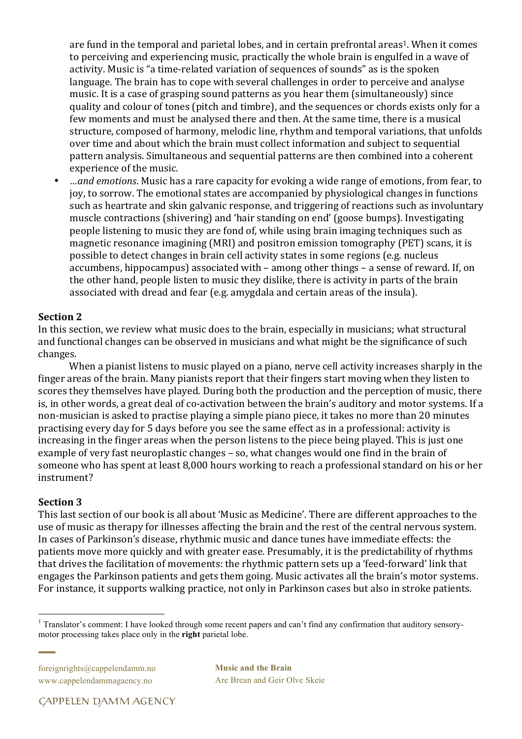are fund in the temporal and parietal lobes, and in certain prefrontal areas<sup>1</sup>. When it comes to perceiving and experiencing music, practically the whole brain is engulfed in a wave of activity. Music is "a time-related variation of sequences of sounds" as is the spoken language. The brain has to cope with several challenges in order to perceive and analyse music. It is a case of grasping sound patterns as you hear them (simultaneously) since quality and colour of tones (pitch and timbre), and the sequences or chords exists only for a few moments and must be analysed there and then. At the same time, there is a musical structure, composed of harmony, melodic line, rhythm and temporal variations, that unfolds over time and about which the brain must collect information and subject to sequential pattern analysis. Simultaneous and sequential patterns are then combined into a coherent experience of the music.

• *…and emotions*. Music has a rare capacity for evoking a wide range of emotions, from fear, to joy, to sorrow. The emotional states are accompanied by physiological changes in functions such as heartrate and skin galvanic response, and triggering of reactions such as involuntary muscle contractions (shivering) and 'hair standing on end' (goose bumps). Investigating people listening to music they are fond of, while using brain imaging techniques such as magnetic resonance imagining (MRI) and positron emission tomography (PET) scans, it is possible to detect changes in brain cell activity states in some regions (e.g. nucleus accumbens, hippocampus) associated with – among other things – a sense of reward. If, on the other hand, people listen to music they dislike, there is activity in parts of the brain associated with dread and fear (e.g. amygdala and certain areas of the insula).

## **Section 2**

In this section, we review what music does to the brain, especially in musicians; what structural and functional changes can be observed in musicians and what might be the significance of such changes. 

When a pianist listens to music played on a piano, nerve cell activity increases sharply in the finger areas of the brain. Many pianists report that their fingers start moving when they listen to scores they themselves have played. During both the production and the perception of music, there is, in other words, a great deal of co-activation between the brain's auditory and motor systems. If a non-musician is asked to practise playing a simple piano piece, it takes no more than 20 minutes practising every day for 5 days before you see the same effect as in a professional: activity is increasing in the finger areas when the person listens to the piece being played. This is just one example of very fast neuroplastic changes – so, what changes would one find in the brain of someone who has spent at least 8,000 hours working to reach a professional standard on his or her instrument?

#### **Section 3**

This last section of our book is all about 'Music as Medicine'. There are different approaches to the use of music as therapy for illnesses affecting the brain and the rest of the central nervous system. In cases of Parkinson's disease, rhythmic music and dance tunes have immediate effects: the patients move more quickly and with greater ease. Presumably, it is the predictability of rhythms that drives the facilitation of movements: the rhythmic pattern sets up a 'feed-forward' link that engages the Parkinson patients and gets them going. Music activates all the brain's motor systems. For instance, it supports walking practice, not only in Parkinson cases but also in stroke patients.

foreignrights@cappelendamm.no www.cappelendammagaency.no

**Music and the Brain** Are Brean and Geir Olve Skeie

<sup>&</sup>lt;sup>1</sup> Translator's comment: I have looked through some recent papers and can't find any confirmation that auditory sensorymotor processing takes place only in the **right** parietal lobe.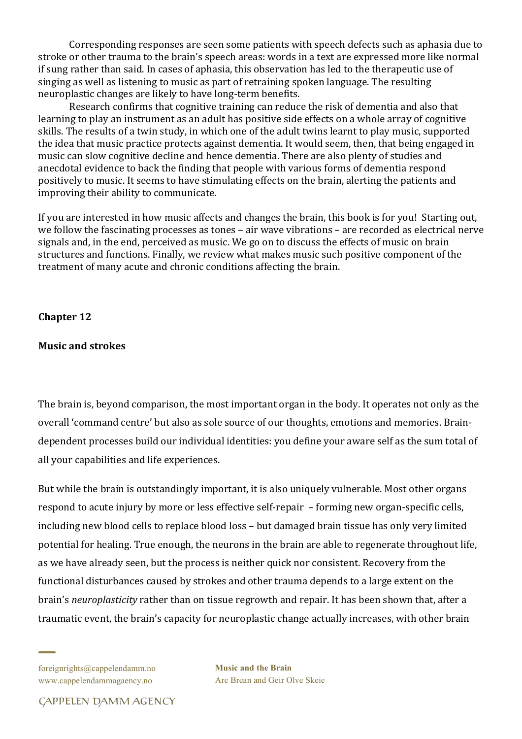Corresponding responses are seen some patients with speech defects such as aphasia due to stroke or other trauma to the brain's speech areas: words in a text are expressed more like normal if sung rather than said. In cases of aphasia, this observation has led to the therapeutic use of singing as well as listening to music as part of retraining spoken language. The resulting neuroplastic changes are likely to have long-term benefits.

Research confirms that cognitive training can reduce the risk of dementia and also that learning to play an instrument as an adult has positive side effects on a whole array of cognitive skills. The results of a twin study, in which one of the adult twins learnt to play music, supported the idea that music practice protects against dementia. It would seem, then, that being engaged in music can slow cognitive decline and hence dementia. There are also plenty of studies and anecdotal evidence to back the finding that people with various forms of dementia respond positively to music. It seems to have stimulating effects on the brain, alerting the patients and improving their ability to communicate.

If you are interested in how music affects and changes the brain, this book is for you! Starting out, we follow the fascinating processes as tones – air wave vibrations – are recorded as electrical nerve signals and, in the end, perceived as music. We go on to discuss the effects of music on brain structures and functions. Finally, we review what makes music such positive component of the treatment of many acute and chronic conditions affecting the brain.

**Chapter 12** 

# **Music and strokes**

The brain is, beyond comparison, the most important organ in the body. It operates not only as the overall 'command centre' but also as sole source of our thoughts, emotions and memories. Braindependent processes build our individual identities: you define your aware self as the sum total of all your capabilities and life experiences.

But while the brain is outstandingly important, it is also uniquely vulnerable. Most other organs respond to acute injury by more or less effective self-repair  $-$  forming new organ-specific cells, including new blood cells to replace blood loss – but damaged brain tissue has only very limited potential for healing. True enough, the neurons in the brain are able to regenerate throughout life, as we have already seen, but the process is neither quick nor consistent. Recovery from the functional disturbances caused by strokes and other trauma depends to a large extent on the brain's *neuroplasticity* rather than on tissue regrowth and repair. It has been shown that, after a traumatic event, the brain's capacity for neuroplastic change actually increases, with other brain

foreignrights@cappelendamm.no www.cappelendammagaency.no

**Music and the Brain** Are Brean and Geir Olve Skeie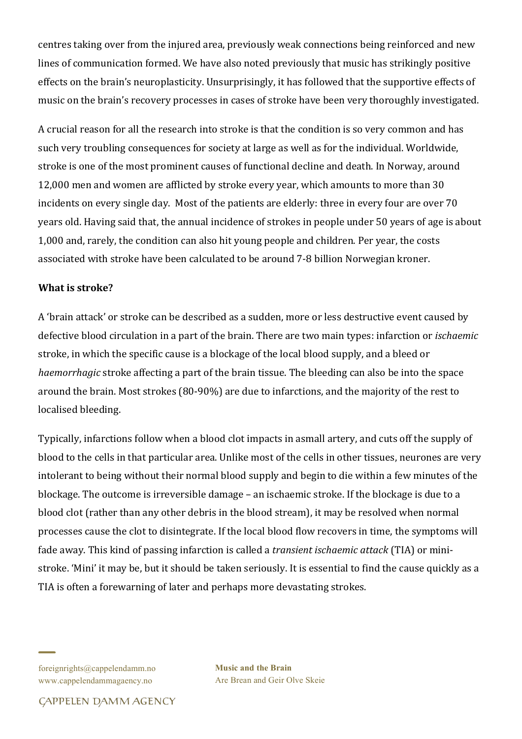centres taking over from the injured area, previously weak connections being reinforced and new lines of communication formed. We have also noted previously that music has strikingly positive effects on the brain's neuroplasticity. Unsurprisingly, it has followed that the supportive effects of music on the brain's recovery processes in cases of stroke have been very thoroughly investigated.

A crucial reason for all the research into stroke is that the condition is so very common and has such very troubling consequences for society at large as well as for the individual. Worldwide, stroke is one of the most prominent causes of functional decline and death. In Norway, around 12,000 men and women are afflicted by stroke every year, which amounts to more than 30 incidents on every single day. Most of the patients are elderly: three in every four are over 70 years old. Having said that, the annual incidence of strokes in people under 50 years of age is about 1,000 and, rarely, the condition can also hit young people and children. Per year, the costs associated with stroke have been calculated to be around 7-8 billion Norwegian kroner.

# **What is stroke?**

A 'brain attack' or stroke can be described as a sudden, more or less destructive event caused by defective blood circulation in a part of the brain. There are two main types: infarction or *ischaemic* stroke, in which the specific cause is a blockage of the local blood supply, and a bleed or *haemorrhagic* stroke affecting a part of the brain tissue. The bleeding can also be into the space around the brain. Most strokes (80-90%) are due to infarctions, and the majority of the rest to localised bleeding.

Typically, infarctions follow when a blood clot impacts in asmall artery, and cuts off the supply of blood to the cells in that particular area. Unlike most of the cells in other tissues, neurones are very intolerant to being without their normal blood supply and begin to die within a few minutes of the blockage. The outcome is irreversible damage – an ischaemic stroke. If the blockage is due to a blood clot (rather than any other debris in the blood stream), it may be resolved when normal processes cause the clot to disintegrate. If the local blood flow recovers in time, the symptoms will fade away. This kind of passing infarction is called a *transient ischaemic attack* (TIA) or ministroke. 'Mini' it may be, but it should be taken seriously. It is essential to find the cause quickly as a TIA is often a forewarning of later and perhaps more devastating strokes.

**Music and the Brain** Are Brean and Geir Olve Skeie

foreignrights@cappelendamm.no www.cappelendammagaency.no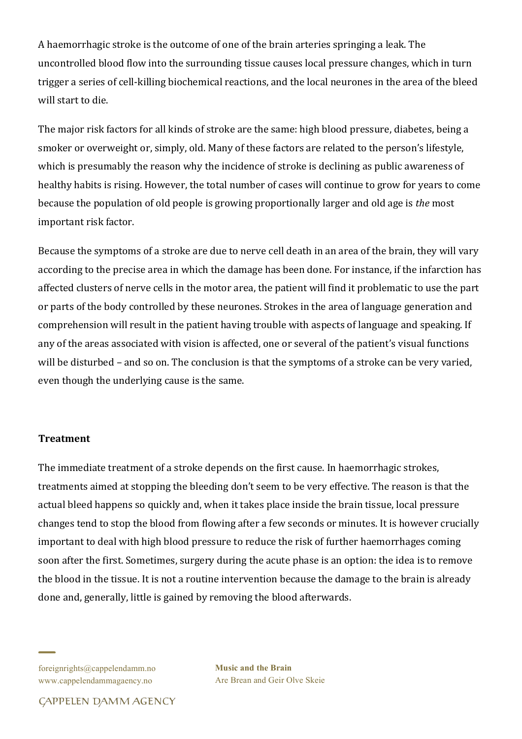A haemorrhagic stroke is the outcome of one of the brain arteries springing a leak. The uncontrolled blood flow into the surrounding tissue causes local pressure changes, which in turn trigger a series of cell-killing biochemical reactions, and the local neurones in the area of the bleed will start to die.

The major risk factors for all kinds of stroke are the same: high blood pressure, diabetes, being a smoker or overweight or, simply, old. Many of these factors are related to the person's lifestyle, which is presumably the reason why the incidence of stroke is declining as public awareness of healthy habits is rising. However, the total number of cases will continue to grow for years to come because the population of old people is growing proportionally larger and old age is *the* most important risk factor.

Because the symptoms of a stroke are due to nerve cell death in an area of the brain, they will vary according to the precise area in which the damage has been done. For instance, if the infarction has affected clusters of nerve cells in the motor area, the patient will find it problematic to use the part or parts of the body controlled by these neurones. Strokes in the area of language generation and comprehension will result in the patient having trouble with aspects of language and speaking. If any of the areas associated with vision is affected, one or several of the patient's visual functions will be disturbed – and so on. The conclusion is that the symptoms of a stroke can be very varied, even though the underlying cause is the same.

# **Treatment**

The immediate treatment of a stroke depends on the first cause. In haemorrhagic strokes, treatments aimed at stopping the bleeding don't seem to be very effective. The reason is that the actual bleed happens so quickly and, when it takes place inside the brain tissue, local pressure changes tend to stop the blood from flowing after a few seconds or minutes. It is however crucially important to deal with high blood pressure to reduce the risk of further haemorrhages coming soon after the first. Sometimes, surgery during the acute phase is an option: the idea is to remove the blood in the tissue. It is not a routine intervention because the damage to the brain is already done and, generally, little is gained by removing the blood afterwards.

foreignrights@cappelendamm.no www.cappelendammagaency.no

**Music and the Brain** Are Brean and Geir Olve Skeie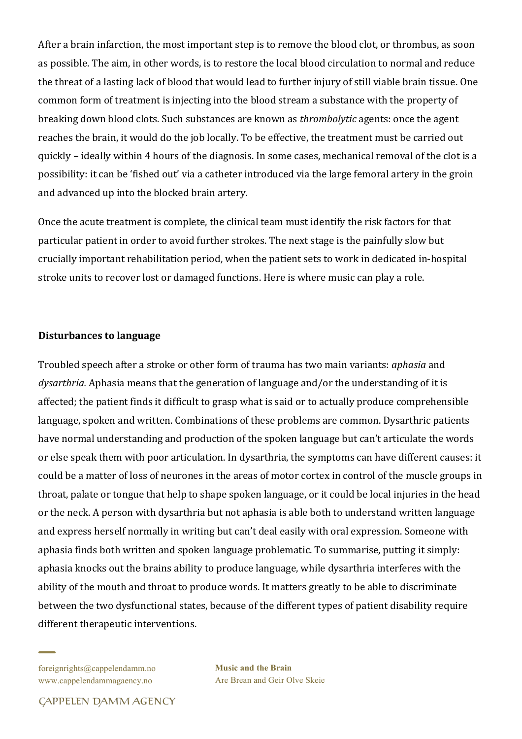After a brain infarction, the most important step is to remove the blood clot, or thrombus, as soon as possible. The aim, in other words, is to restore the local blood circulation to normal and reduce the threat of a lasting lack of blood that would lead to further injury of still viable brain tissue. One common form of treatment is injecting into the blood stream a substance with the property of breaking down blood clots. Such substances are known as *thrombolytic* agents: once the agent reaches the brain, it would do the job locally. To be effective, the treatment must be carried out quickly – ideally within 4 hours of the diagnosis. In some cases, mechanical removal of the clot is a possibility: it can be 'fished out' via a catheter introduced via the large femoral artery in the groin and advanced up into the blocked brain artery.

Once the acute treatment is complete, the clinical team must identify the risk factors for that particular patient in order to avoid further strokes. The next stage is the painfully slow but crucially important rehabilitation period, when the patient sets to work in dedicated in-hospital stroke units to recover lost or damaged functions. Here is where music can play a role.

## **Disturbances to language**

Troubled speech after a stroke or other form of trauma has two main variants: *aphasia* and dysarthria. Aphasia means that the generation of language and/or the understanding of it is affected; the patient finds it difficult to grasp what is said or to actually produce comprehensible language, spoken and written. Combinations of these problems are common. Dysarthric patients have normal understanding and production of the spoken language but can't articulate the words or else speak them with poor articulation. In dysarthria, the symptoms can have different causes: it could be a matter of loss of neurones in the areas of motor cortex in control of the muscle groups in throat, palate or tongue that help to shape spoken language, or it could be local injuries in the head or the neck. A person with dysarthria but not aphasia is able both to understand written language and express herself normally in writing but can't deal easily with oral expression. Someone with aphasia finds both written and spoken language problematic. To summarise, putting it simply: aphasia knocks out the brains ability to produce language, while dysarthria interferes with the ability of the mouth and throat to produce words. It matters greatly to be able to discriminate between the two dysfunctional states, because of the different types of patient disability require different therapeutic interventions.

foreignrights@cappelendamm.no www.cappelendammagaency.no

**Music and the Brain** Are Brean and Geir Olve Skeie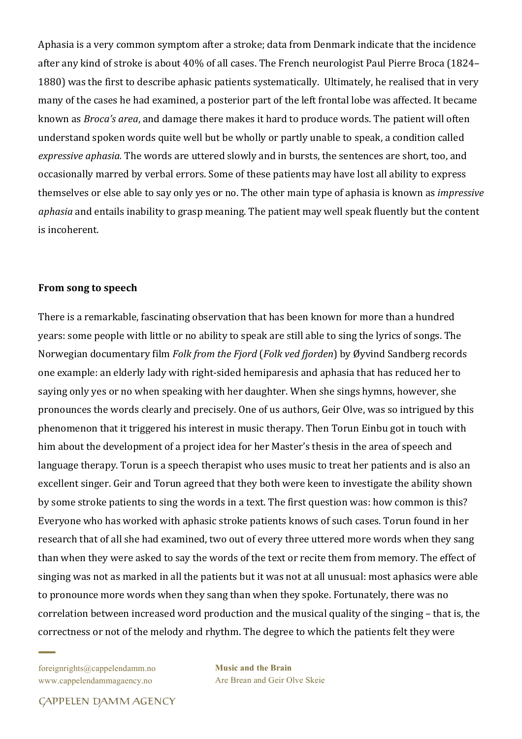Aphasia is a very common symptom after a stroke; data from Denmark indicate that the incidence after any kind of stroke is about 40% of all cases. The French neurologist Paul Pierre Broca (1824– 1880) was the first to describe aphasic patients systematically. Ultimately, he realised that in very many of the cases he had examined, a posterior part of the left frontal lobe was affected. It became known as *Broca's area*, and damage there makes it hard to produce words. The patient will often understand spoken words quite well but be wholly or partly unable to speak, a condition called *expressive aphasia.* The words are uttered slowly and in bursts, the sentences are short, too, and occasionally marred by verbal errors. Some of these patients may have lost all ability to express themselves or else able to say only yes or no. The other main type of aphasia is known as *impressive aphasia* and entails inability to grasp meaning. The patient may well speak fluently but the content is incoherent.

#### From song to speech

There is a remarkable, fascinating observation that has been known for more than a hundred years: some people with little or no ability to speak are still able to sing the lyrics of songs. The Norwegian documentary film *Folk from the Fjord* (*Folk ved fjorden*) by Øyvind Sandberg records one example: an elderly lady with right-sided hemiparesis and aphasia that has reduced her to saying only yes or no when speaking with her daughter. When she sings hymns, however, she pronounces the words clearly and precisely. One of us authors, Geir Olve, was so intrigued by this phenomenon that it triggered his interest in music therapy. Then Torun Einbu got in touch with him about the development of a project idea for her Master's thesis in the area of speech and language therapy. Torun is a speech therapist who uses music to treat her patients and is also an excellent singer. Geir and Torun agreed that they both were keen to investigate the ability shown by some stroke patients to sing the words in a text. The first question was: how common is this? Everyone who has worked with aphasic stroke patients knows of such cases. Torun found in her research that of all she had examined, two out of every three uttered more words when they sang than when they were asked to say the words of the text or recite them from memory. The effect of singing was not as marked in all the patients but it was not at all unusual: most aphasics were able to pronounce more words when they sang than when they spoke. Fortunately, there was no correlation between increased word production and the musical quality of the singing – that is, the correctness or not of the melody and rhythm. The degree to which the patients felt they were

foreignrights@cappelendamm.no www.cappelendammagaency.no

**Music and the Brain** Are Brean and Geir Olve Skeie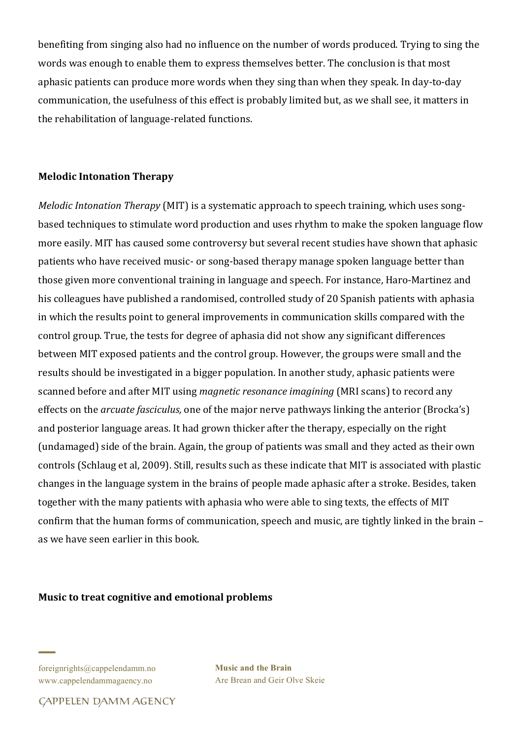benefiting from singing also had no influence on the number of words produced. Trying to sing the words was enough to enable them to express themselves better. The conclusion is that most aphasic patients can produce more words when they sing than when they speak. In day-to-day communication, the usefulness of this effect is probably limited but, as we shall see, it matters in the rehabilitation of language-related functions.

# **Melodic Intonation Therapy**

*Melodic Intonation Therapy* (MIT) is a systematic approach to speech training, which uses songbased techniques to stimulate word production and uses rhythm to make the spoken language flow more easily. MIT has caused some controversy but several recent studies have shown that aphasic patients who have received music- or song-based therapy manage spoken language better than those given more conventional training in language and speech. For instance, Haro-Martinez and his colleagues have published a randomised, controlled study of 20 Spanish patients with aphasia in which the results point to general improvements in communication skills compared with the control group. True, the tests for degree of aphasia did not show any significant differences between MIT exposed patients and the control group. However, the groups were small and the results should be investigated in a bigger population. In another study, aphasic patients were scanned before and after MIT using *magnetic resonance imagining* (MRI scans) to record any effects on the *arcuate fasciculus*, one of the major nerve pathways linking the anterior (Brocka's) and posterior language areas. It had grown thicker after the therapy, especially on the right (undamaged) side of the brain. Again, the group of patients was small and they acted as their own controls (Schlaug et al, 2009). Still, results such as these indicate that MIT is associated with plastic changes in the language system in the brains of people made aphasic after a stroke. Besides, taken together with the many patients with aphasia who were able to sing texts, the effects of MIT confirm that the human forms of communication, speech and music, are tightly linked in the brain as we have seen earlier in this book.

#### **Music to treat cognitive and emotional problems**

foreignrights@cappelendamm.no www.cappelendammagaency.no

**Music and the Brain** Are Brean and Geir Olve Skeie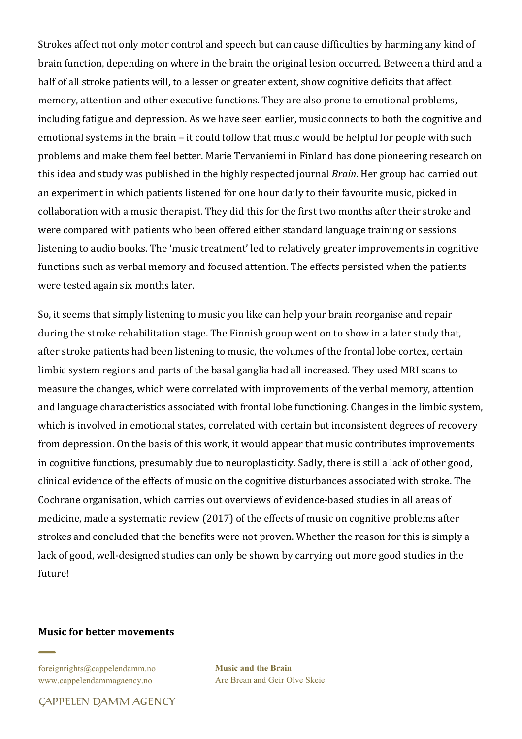Strokes affect not only motor control and speech but can cause difficulties by harming any kind of brain function, depending on where in the brain the original lesion occurred. Between a third and a half of all stroke patients will, to a lesser or greater extent, show cognitive deficits that affect memory, attention and other executive functions. They are also prone to emotional problems, including fatigue and depression. As we have seen earlier, music connects to both the cognitive and emotional systems in the brain – it could follow that music would be helpful for people with such problems and make them feel better. Marie Tervaniemi in Finland has done pioneering research on this idea and study was published in the highly respected journal *Brain*. Her group had carried out an experiment in which patients listened for one hour daily to their favourite music, picked in collaboration with a music therapist. They did this for the first two months after their stroke and were compared with patients who been offered either standard language training or sessions listening to audio books. The 'music treatment' led to relatively greater improvements in cognitive functions such as verbal memory and focused attention. The effects persisted when the patients were tested again six months later.

So, it seems that simply listening to music you like can help your brain reorganise and repair during the stroke rehabilitation stage. The Finnish group went on to show in a later study that, after stroke patients had been listening to music, the volumes of the frontal lobe cortex, certain limbic system regions and parts of the basal ganglia had all increased. They used MRI scans to measure the changes, which were correlated with improvements of the verbal memory, attention and language characteristics associated with frontal lobe functioning. Changes in the limbic system, which is involved in emotional states, correlated with certain but inconsistent degrees of recovery from depression. On the basis of this work, it would appear that music contributes improvements in cognitive functions, presumably due to neuroplasticity. Sadly, there is still a lack of other good, clinical evidence of the effects of music on the cognitive disturbances associated with stroke. The Cochrane organisation, which carries out overviews of evidence-based studies in all areas of medicine, made a systematic review (2017) of the effects of music on cognitive problems after strokes and concluded that the benefits were not proven. Whether the reason for this is simply a lack of good, well-designed studies can only be shown by carrying out more good studies in the future!

#### **Music for better movements**

foreignrights@cappelendamm.no www.cappelendammagaency.no

**Music and the Brain** Are Brean and Geir Olve Skeie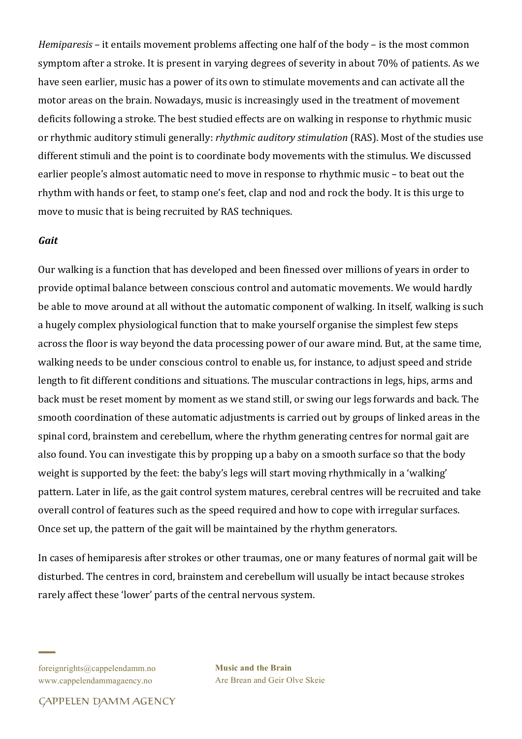*Hemiparesis* – it entails movement problems affecting one half of the body – is the most common symptom after a stroke. It is present in varying degrees of severity in about 70% of patients. As we have seen earlier, music has a power of its own to stimulate movements and can activate all the motor areas on the brain. Nowadays, music is increasingly used in the treatment of movement deficits following a stroke. The best studied effects are on walking in response to rhythmic music or rhythmic auditory stimuli generally: *rhythmic auditory stimulation* (RAS). Most of the studies use different stimuli and the point is to coordinate body movements with the stimulus. We discussed earlier people's almost automatic need to move in response to rhythmic music – to beat out the rhythm with hands or feet, to stamp one's feet, clap and nod and rock the body. It is this urge to move to music that is being recruited by RAS techniques.

#### *Gait*

Our walking is a function that has developed and been finessed over millions of years in order to provide optimal balance between conscious control and automatic movements. We would hardly be able to move around at all without the automatic component of walking. In itself, walking is such a hugely complex physiological function that to make yourself organise the simplest few steps across the floor is way beyond the data processing power of our aware mind. But, at the same time, walking needs to be under conscious control to enable us, for instance, to adjust speed and stride length to fit different conditions and situations. The muscular contractions in legs, hips, arms and back must be reset moment by moment as we stand still, or swing our legs forwards and back. The smooth coordination of these automatic adjustments is carried out by groups of linked areas in the spinal cord, brainstem and cerebellum, where the rhythm generating centres for normal gait are also found. You can investigate this by propping up a baby on a smooth surface so that the body weight is supported by the feet: the baby's legs will start moving rhythmically in a 'walking' pattern. Later in life, as the gait control system matures, cerebral centres will be recruited and take overall control of features such as the speed required and how to cope with irregular surfaces. Once set up, the pattern of the gait will be maintained by the rhythm generators.

In cases of hemiparesis after strokes or other traumas, one or many features of normal gait will be disturbed. The centres in cord, brainstem and cerebellum will usually be intact because strokes rarely affect these 'lower' parts of the central nervous system.

foreignrights@cappelendamm.no www.cappelendammagaency.no

**Music and the Brain** Are Brean and Geir Olve Skeie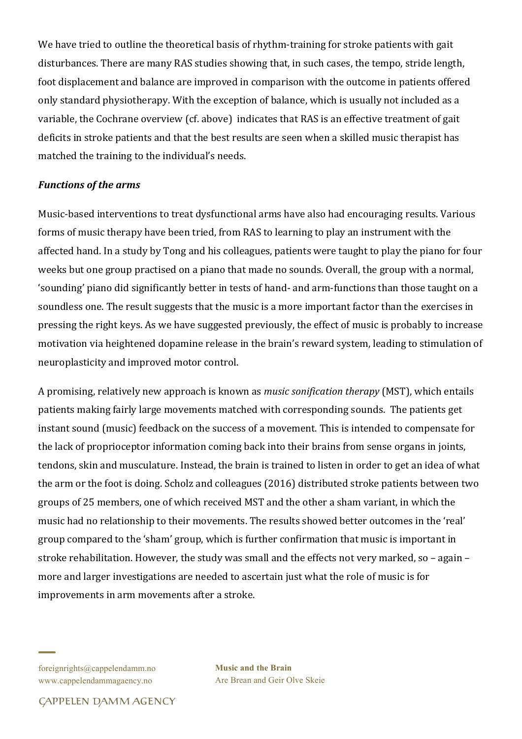We have tried to outline the theoretical basis of rhythm-training for stroke patients with gait disturbances. There are many RAS studies showing that, in such cases, the tempo, stride length, foot displacement and balance are improved in comparison with the outcome in patients offered only standard physiotherapy. With the exception of balance, which is usually not included as a variable, the Cochrane overview (cf. above) indicates that RAS is an effective treatment of gait deficits in stroke patients and that the best results are seen when a skilled music therapist has matched the training to the individual's needs.

# *Functions of the arms*

Music-based interventions to treat dysfunctional arms have also had encouraging results. Various forms of music therapy have been tried, from RAS to learning to play an instrument with the affected hand. In a study by Tong and his colleagues, patients were taught to play the piano for four weeks but one group practised on a piano that made no sounds. Overall, the group with a normal, 'sounding' piano did significantly better in tests of hand- and arm-functions than those taught on a soundless one. The result suggests that the music is a more important factor than the exercises in pressing the right keys. As we have suggested previously, the effect of music is probably to increase motivation via heightened dopamine release in the brain's reward system, leading to stimulation of neuroplasticity and improved motor control.

A promising, relatively new approach is known as *music sonification therapy* (MST), which entails patients making fairly large movements matched with corresponding sounds. The patients get instant sound (music) feedback on the success of a movement. This is intended to compensate for the lack of proprioceptor information coming back into their brains from sense organs in joints, tendons, skin and musculature. Instead, the brain is trained to listen in order to get an idea of what the arm or the foot is doing. Scholz and colleagues (2016) distributed stroke patients between two groups of 25 members, one of which received MST and the other a sham variant, in which the music had no relationship to their movements. The results showed better outcomes in the 'real' group compared to the 'sham' group, which is further confirmation that music is important in stroke rehabilitation. However, the study was small and the effects not very marked, so - again more and larger investigations are needed to ascertain just what the role of music is for improvements in arm movements after a stroke.

foreignrights@cappelendamm.no www.cappelendammagaency.no

**Music and the Brain** Are Brean and Geir Olve Skeie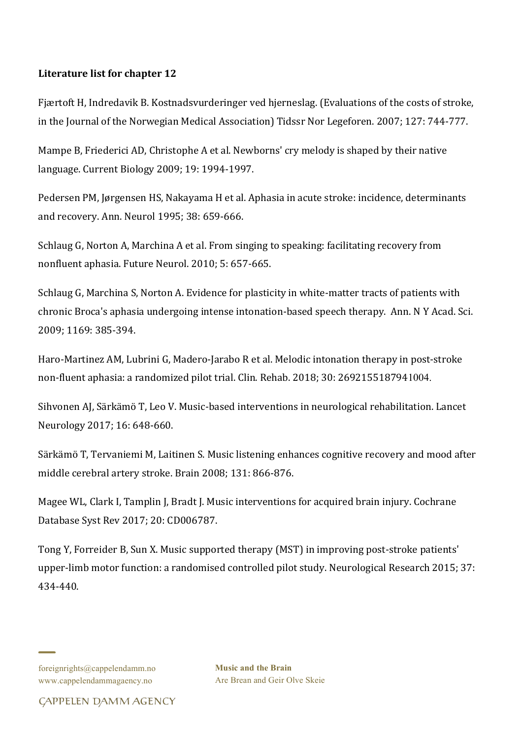# Literature list for chapter 12

Fjærtoft H, Indredavik B. Kostnadsvurderinger ved hjerneslag. (Evaluations of the costs of stroke, in the Journal of the Norwegian Medical Association) Tidssr Nor Legeforen. 2007; 127: 744-777.

Mampe B, Friederici AD, Christophe A et al. Newborns' cry melody is shaped by their native language. Current Biology 2009; 19: 1994-1997.

Pedersen PM, Jørgensen HS, Nakayama H et al. Aphasia in acute stroke: incidence, determinants and recovery. Ann. Neurol 1995; 38: 659-666.

Schlaug G, Norton A, Marchina A et al. From singing to speaking: facilitating recovery from nonfluent aphasia. Future Neurol. 2010; 5: 657-665.

Schlaug G, Marchina S, Norton A. Evidence for plasticity in white-matter tracts of patients with chronic Broca's aphasia undergoing intense intonation-based speech therapy. Ann. N Y Acad. Sci. 2009; 1169: 385-394.

Haro-Martinez AM, Lubrini G, Madero-Jarabo R et al. Melodic intonation therapy in post-stroke non-fluent aphasia: a randomized pilot trial. Clin. Rehab. 2018; 30: 2692155187941004.

Sihvonen AJ, Särkämö T, Leo V. Music-based interventions in neurological rehabilitation. Lancet Neurology 2017; 16: 648-660.

Särkämö T, Tervaniemi M, Laitinen S. Music listening enhances cognitive recovery and mood after middle cerebral artery stroke. Brain 2008; 131: 866-876.

Magee WL, Clark I, Tamplin J, Bradt J. Music interventions for acquired brain injury. Cochrane Database Syst Rev 2017; 20: CD006787.

Tong Y, Forreider B, Sun X. Music supported therapy (MST) in improving post-stroke patients' upper-limb motor function: a randomised controlled pilot study. Neurological Research 2015; 37: 434-440. 

**Music and the Brain** Are Brean and Geir Olve Skeie

foreignrights@cappelendamm.no www.cappelendammagaency.no